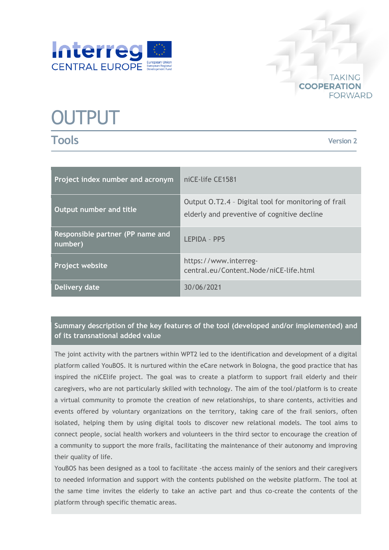



# **OUTPUT**

**Tools**

**Version 2**

| Project index number and acronym            | niCE-life CE1581                                                                                    |
|---------------------------------------------|-----------------------------------------------------------------------------------------------------|
| Output number and title                     | Output O.T2.4 - Digital tool for monitoring of frail<br>elderly and preventive of cognitive decline |
| Responsible partner (PP name and<br>number) | LEPIDA - PP5                                                                                        |
| Project website                             | https://www.interreg-<br>central.eu/Content.Node/niCE-life.html                                     |
| Delivery date                               | 30/06/2021                                                                                          |

# **Summary description of the key features of the tool (developed and/or implemented) and of its transnational added value**

The joint activity with the partners within WPT2 led to the identification and development of a digital platform called YouBOS. It is nurtured within the eCare network in Bologna, the good practice that has inspired the niCElife project. The goal was to create a platform to support frail elderly and their caregivers, who are not particularly skilled with technology. The aim of the tool/platform is to create a virtual community to promote the creation of new relationships, to share contents, activities and events offered by voluntary organizations on the territory, taking care of the frail seniors, often isolated, helping them by using digital tools to discover new relational models. The tool aims to connect people, social health workers and volunteers in the third sector to encourage the creation of a community to support the more frails, facilitating the maintenance of their autonomy and improving their quality of life.

YouBOS has been designed as a tool to facilitate -the access mainly of the seniors and their caregivers to needed information and support with the contents published on the website platform. The tool at the same time invites the elderly to take an active part and thus co-create the contents of the platform through specific thematic areas.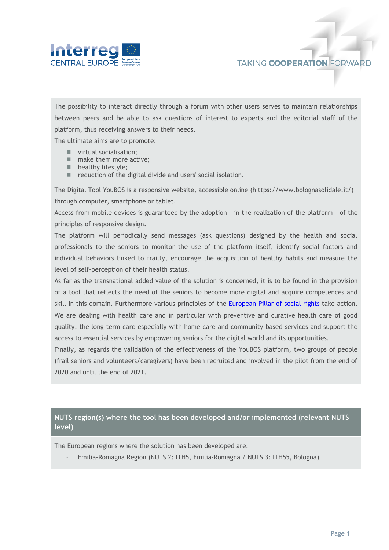

The possibility to interact directly through a forum with other users serves to maintain relationships between peers and be able to ask questions of interest to experts and the editorial staff of the platform, thus receiving answers to their needs.

The ultimate aims are to promote:

- **virtual socialisation;**
- make them more active;
- **healthy lifestyle;**
- reduction of the digital divide and users' social isolation.

The Digital Tool YouBOS is a responsive website, accessible online (h ttps://www.bolognasolidale.it/) through computer, smartphone or tablet.

Access from mobile devices is guaranteed by the adoption - in the realization of the platform - of the principles of responsive design.

The platform will periodically send messages (ask questions) designed by the health and social professionals to the seniors to monitor the use of the platform itself, identify social factors and individual behaviors linked to frailty, encourage the acquisition of healthy habits and measure the level of self-perception of their health status.

As far as the transnational added value of the solution is concerned, it is to be found in the provision of a tool that reflects the need of the seniors to become more digital and acquire competences and skill in this domain. Furthermore various principles of the [European Pillar of social rights](https://ec.europa.eu/info/strategy/priorities-2019-2024/economy-works-people/jobs-growth-and-investment/european-pillar-social-rights/european-pillar-social-rights-20-principles_en) take action. We are dealing with health care and in particular with preventive and curative health care of good quality, the long-term care especially with home-care and community-based services and support the access to essential services by empowering seniors for the digital world and its opportunities.

Finally, as regards the validation of the effectiveness of the YouBOS platform, two groups of people (frail seniors and volunteers/caregivers) have been recruited and involved in the pilot from the end of 2020 and until the end of 2021.

# **NUTS region(s) where the tool has been developed and/or implemented (relevant NUTS level)**

The European regions where the solution has been developed are:

- Emilia-Romagna Region (NUTS 2: ITH5, Emilia-Romagna / NUTS 3: ITH55, Bologna)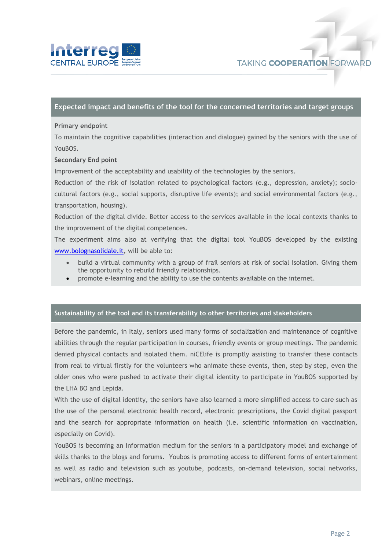

## **Expected impact and benefits of the tool for the concerned territories and target groups**

#### **Primary endpoint**

To maintain the cognitive capabilities (interaction and dialogue) gained by the seniors with the use of YouBOS.

### **Secondary End point**

Improvement of the acceptability and usability of the technologies by the seniors.

Reduction of the risk of isolation related to psychological factors (e.g., depression, anxiety); sociocultural factors (e.g., social supports, disruptive life events); and social environmental factors (e.g., transportation, housing).

Reduction of the digital divide. Better access to the services available in the local contexts thanks to the improvement of the digital competences.

The experiment aims also at verifying that the digital tool YouBOS developed by the existing [www.bolognasolidale.it,](http://www.bolognasolidale.it/) will be able to:

- build a virtual community with a group of frail seniors at risk of social isolation. Giving them the opportunity to rebuild friendly relationships.
- promote e-learning and the ability to use the contents available on the internet.

#### **Sustainability of the tool and its transferability to other territories and stakeholders**

Before the pandemic, in Italy, seniors used many forms of socialization and maintenance of cognitive abilities through the regular participation in courses, friendly events or group meetings. The pandemic denied physical contacts and isolated them. niCElife is promptly assisting to transfer these contacts from real to virtual firstly for the volunteers who animate these events, then, step by step, even the older ones who were pushed to activate their digital identity to participate in YouBOS supported by the LHA BO and Lepida.

With the use of digital identity, the seniors have also learned a more simplified access to care such as the use of the personal electronic health record, electronic prescriptions, the Covid digital passport and the search for appropriate information on health (i.e. scientific information on vaccination, especially on Covid).

YouBOS is becoming an information medium for the seniors in a participatory model and exchange of skills thanks to the blogs and forums. Youbos is promoting access to different forms of entertainment as well as radio and television such as youtube, podcasts, on-demand television, social networks, webinars, online meetings.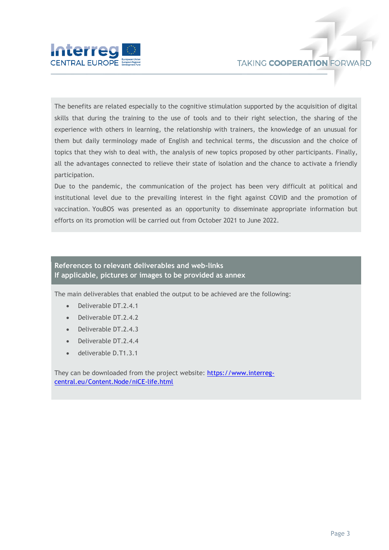

The benefits are related especially to the cognitive stimulation supported by the acquisition of digital skills that during the training to the use of tools and to their right selection, the sharing of the experience with others in learning, the relationship with trainers, the knowledge of an unusual for them but daily terminology made of English and technical terms, the discussion and the choice of topics that they wish to deal with, the analysis of new topics proposed by other participants. Finally, all the advantages connected to relieve their state of isolation and the chance to activate a friendly participation.

Due to the pandemic, the communication of the project has been very difficult at political and institutional level due to the prevailing interest in the fight against COVID and the promotion of vaccination. YouBOS was presented as an opportunity to disseminate appropriate information but efforts on its promotion will be carried out from October 2021 to June 2022.

## **References to relevant deliverables and web-links If applicable, pictures or images to be provided as annex**

The main deliverables that enabled the output to be achieved are the following:

- Deliverable DT.2.4.1
- Deliverable DT.2.4.2
- Deliverable DT.2.4.3
- Deliverable DT.2.4.4
- deliverable D.T1.3.1

They can be downloaded from the project website: [https://www.interreg](https://www.interreg-central.eu/Content.Node/niCE-life.html)[central.eu/Content.Node/niCE-life.html](https://www.interreg-central.eu/Content.Node/niCE-life.html)